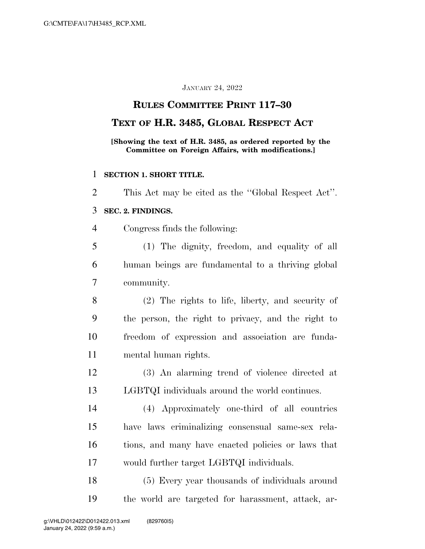#### JANUARY 24, 2022

## **RULES COMMITTEE PRINT 117–30**

### **TEXT OF H.R. 3485, GLOBAL RESPECT ACT**

**[Showing the text of H.R. 3485, as ordered reported by the Committee on Foreign Affairs, with modifications.]** 

#### **SECTION 1. SHORT TITLE.**

This Act may be cited as the ''Global Respect Act''.

### **SEC. 2. FINDINGS.**

Congress finds the following:

 (1) The dignity, freedom, and equality of all human beings are fundamental to a thriving global community.

 (2) The rights to life, liberty, and security of the person, the right to privacy, and the right to freedom of expression and association are funda-mental human rights.

 (3) An alarming trend of violence directed at LGBTQI individuals around the world continues.

 (4) Approximately one-third of all countries have laws criminalizing consensual same-sex rela- tions, and many have enacted policies or laws that would further target LGBTQI individuals.

 (5) Every year thousands of individuals around the world are targeted for harassment, attack, ar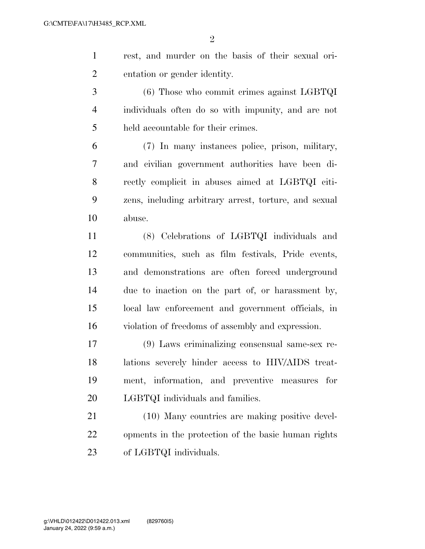$\mathfrak{D}$ 

 rest, and murder on the basis of their sexual ori-entation or gender identity.

 (6) Those who commit crimes against LGBTQI individuals often do so with impunity, and are not held accountable for their crimes.

 (7) In many instances police, prison, military, and civilian government authorities have been di- rectly complicit in abuses aimed at LGBTQI citi- zens, including arbitrary arrest, torture, and sexual abuse.

 (8) Celebrations of LGBTQI individuals and communities, such as film festivals, Pride events, and demonstrations are often forced underground due to inaction on the part of, or harassment by, local law enforcement and government officials, in violation of freedoms of assembly and expression.

 (9) Laws criminalizing consensual same-sex re- lations severely hinder access to HIV/AIDS treat- ment, information, and preventive measures for LGBTQI individuals and families.

 (10) Many countries are making positive devel- opments in the protection of the basic human rights of LGBTQI individuals.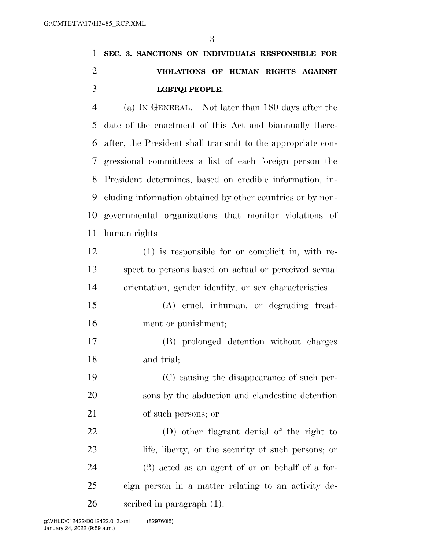# **SEC. 3. SANCTIONS ON INDIVIDUALS RESPONSIBLE FOR VIOLATIONS OF HUMAN RIGHTS AGAINST LGBTQI PEOPLE.**

 (a) IN GENERAL.—Not later than 180 days after the date of the enactment of this Act and biannually there- after, the President shall transmit to the appropriate con- gressional committees a list of each foreign person the President determines, based on credible information, in- cluding information obtained by other countries or by non- governmental organizations that monitor violations of human rights—

 (1) is responsible for or complicit in, with re- spect to persons based on actual or perceived sexual orientation, gender identity, or sex characteristics—

- (A) cruel, inhuman, or degrading treat-ment or punishment;
- (B) prolonged detention without charges and trial;

 (C) causing the disappearance of such per- sons by the abduction and clandestine detention of such persons; or

 (D) other flagrant denial of the right to life, liberty, or the security of such persons; or (2) acted as an agent of or on behalf of a for- eign person in a matter relating to an activity de-scribed in paragraph (1).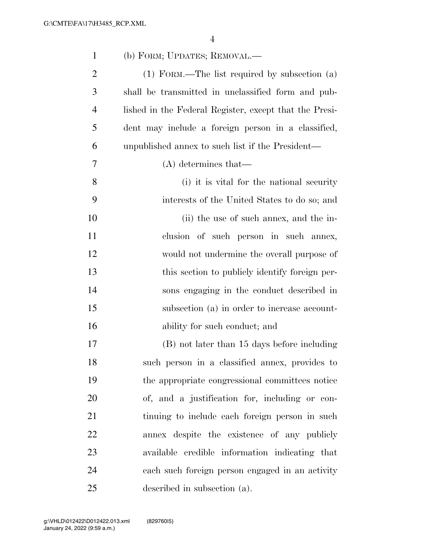| $\mathbf{1}$   | (b) FORM; UPDATES; REMOVAL.—                           |
|----------------|--------------------------------------------------------|
| $\overline{2}$ | (1) FORM.—The list required by subsection (a)          |
| 3              | shall be transmitted in unclassified form and pub-     |
| $\overline{4}$ | lished in the Federal Register, except that the Presi- |
| 5              | dent may include a foreign person in a classified,     |
| 6              | unpublished annex to such list if the President—       |
| 7              | $(A)$ determines that—                                 |
| 8              | (i) it is vital for the national security              |
| 9              | interests of the United States to do so; and           |
| 10             | (ii) the use of such annex, and the in-                |
| 11             | clusion of such person in such annex,                  |
| 12             | would not undermine the overall purpose of             |
| 13             | this section to publicly identify foreign per-         |
| 14             | sons engaging in the conduct described in              |
| 15             | subsection (a) in order to increase account-           |
| 16             | ability for such conduct; and                          |
| 17             | (B) not later than 15 days before including            |
| 18             | such person in a classified annex, provides to         |
| 19             | the appropriate congressional committees notice        |
| 20             | of, and a justification for, including or con-         |
| 21             | tinuing to include each foreign person in such         |
| 22             | annex despite the existence of any publicly            |
| 23             | available credible information indicating that         |
| 24             | each such foreign person engaged in an activity        |
| 25             | described in subsection (a).                           |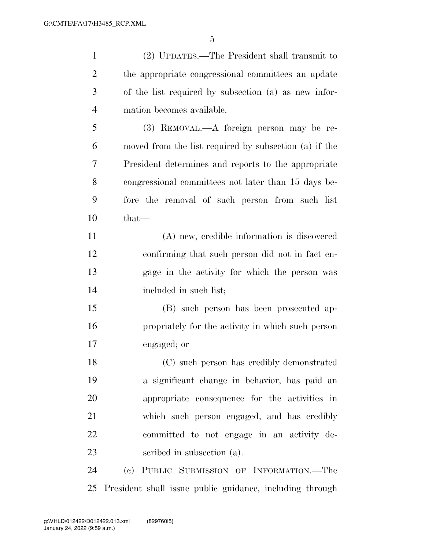| $\mathbf{1}$   | (2) UPDATES.—The President shall transmit to             |
|----------------|----------------------------------------------------------|
| 2              | the appropriate congressional committees an update       |
| 3              | of the list required by subsection (a) as new infor-     |
| $\overline{4}$ | mation becomes available.                                |
| 5              | (3) REMOVAL.—A foreign person may be re-                 |
| 6              | moved from the list required by subsection (a) if the    |
| 7              | President determines and reports to the appropriate      |
| 8              | congressional committees not later than 15 days be-      |
| 9              | fore the removal of such person from such list           |
| 10             | that-                                                    |
| 11             | (A) new, credible information is discovered              |
| 12             | confirming that such person did not in fact en-          |
| 13             | gage in the activity for which the person was            |
| 14             | included in such list;                                   |
| 15             | (B) such person has been prosecuted ap-                  |
| 16             | propriately for the activity in which such person        |
| 17             | engaged; or                                              |
| 18             | (C) such person has credibly demonstrated                |
| 19             | a significant change in behavior, has paid an            |
| 20             | appropriate consequence for the activities in            |
| 21             | which such person engaged, and has credibly              |
| 22             | committed to not engage in an activity de-               |
| 23             | scribed in subsection (a).                               |
| 24             | (c) PUBLIC SUBMISSION OF INFORMATION.-The                |
| 25             | President shall issue public guidance, including through |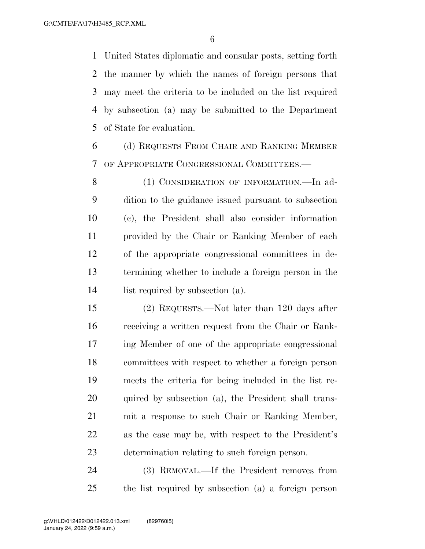United States diplomatic and consular posts, setting forth the manner by which the names of foreign persons that may meet the criteria to be included on the list required by subsection (a) may be submitted to the Department of State for evaluation.

 (d) REQUESTS FROM CHAIR AND RANKING MEMBER OF APPROPRIATE CONGRESSIONAL COMMITTEES.—

8 (1) CONSIDERATION OF INFORMATION.—In ad- dition to the guidance issued pursuant to subsection (c), the President shall also consider information provided by the Chair or Ranking Member of each of the appropriate congressional committees in de- termining whether to include a foreign person in the list required by subsection (a).

 (2) REQUESTS.—Not later than 120 days after receiving a written request from the Chair or Rank- ing Member of one of the appropriate congressional committees with respect to whether a foreign person meets the criteria for being included in the list re-20 quired by subsection (a), the President shall trans- mit a response to such Chair or Ranking Member, as the case may be, with respect to the President's determination relating to such foreign person.

 (3) REMOVAL.—If the President removes from the list required by subsection (a) a foreign person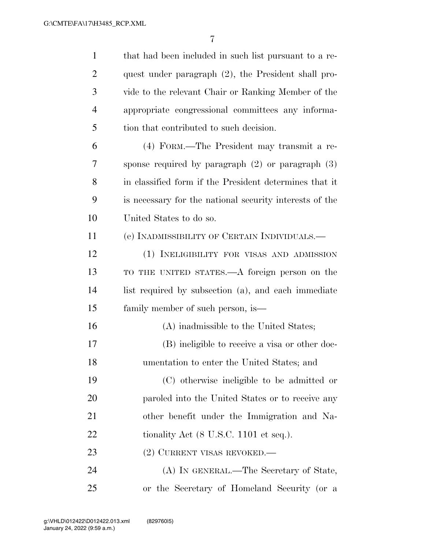| $\mathbf{1}$   | that had been included in such list pursuant to a re-   |
|----------------|---------------------------------------------------------|
| $\overline{2}$ | quest under paragraph (2), the President shall pro-     |
| 3              | vide to the relevant Chair or Ranking Member of the     |
| $\overline{4}$ | appropriate congressional committees any informa-       |
| 5              | tion that contributed to such decision.                 |
| 6              | (4) FORM.—The President may transmit a re-              |
| 7              | sponse required by paragraph $(2)$ or paragraph $(3)$   |
| 8              | in classified form if the President determines that it  |
| 9              | is necessary for the national security interests of the |
| 10             | United States to do so.                                 |
| 11             | (e) INADMISSIBILITY OF CERTAIN INDIVIDUALS.—            |
| 12             | (1) INELIGIBILITY FOR VISAS AND ADMISSION               |
| 13             | TO THE UNITED STATES.—A foreign person on the           |
| 14             | list required by subsection (a), and each immediate     |
| 15             | family member of such person, is—                       |
| 16             | (A) inadmissible to the United States;                  |
| 17             | (B) ineligible to receive a visa or other doc-          |
| 18             | umentation to enter the United States; and              |
| 19             | (C) otherwise ineligible to be admitted or              |
| 20             | paroled into the United States or to receive any        |
| 21             | other benefit under the Immigration and Na-             |
| 22             | tionality Act (8 U.S.C. 1101 et seq.).                  |
| 23             | (2) CURRENT VISAS REVOKED.—                             |
| 24             | (A) IN GENERAL.—The Secretary of State,                 |
| 25             | or the Secretary of Homeland Security (or a             |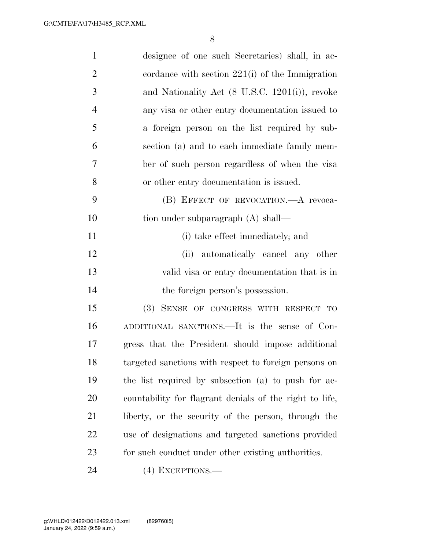| $\mathbf{1}$   | designee of one such Secretaries) shall, in ac-         |
|----------------|---------------------------------------------------------|
| $\overline{2}$ | cordance with section $221(i)$ of the Immigration       |
| 3              | and Nationality Act (8 U.S.C. 1201(i)), revoke          |
| $\overline{4}$ | any visa or other entry documentation issued to         |
| 5              | a foreign person on the list required by sub-           |
| 6              | section (a) and to each immediate family mem-           |
| 7              | ber of such person regardless of when the visa          |
| 8              | or other entry documentation is issued.                 |
| 9              | (B) EFFECT OF REVOCATION. A revoca-                     |
| 10             | tion under subparagraph (A) shall—                      |
| 11             | (i) take effect immediately; and                        |
| 12             | (ii) automatically cancel any other                     |
| 13             | valid visa or entry documentation that is in            |
| 14             | the foreign person's possession.                        |
| 15             | (3) SENSE OF CONGRESS WITH RESPECT TO                   |
| 16             | ADDITIONAL SANCTIONS.—It is the sense of Con-           |
| 17             | gress that the President should impose additional       |
| 18             | targeted sanctions with respect to foreign persons on   |
| 19             | the list required by subsection (a) to push for ac-     |
| 20             | countability for flagrant denials of the right to life, |
| 21             | liberty, or the security of the person, through the     |
| 22             | use of designations and targeted sanctions provided     |
| 23             | for such conduct under other existing authorities.      |
| 24             | $(4)$ EXCEPTIONS.—                                      |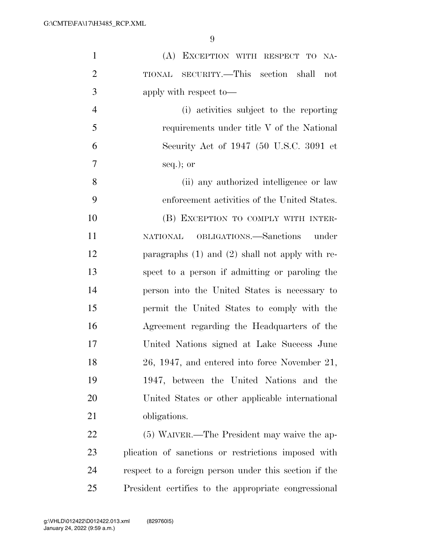| $\mathbf{1}$   | (A) EXCEPTION WITH RESPECT TO NA-                     |
|----------------|-------------------------------------------------------|
| $\overline{2}$ | TIONAL SECURITY.—This section shall<br>not            |
| 3              | apply with respect to-                                |
| $\overline{4}$ | (i) activities subject to the reporting               |
| 5              | requirements under title V of the National            |
| 6              | Security Act of 1947 (50 U.S.C. 3091 et               |
| 7              | $seq.$ ); or                                          |
| 8              | (ii) any authorized intelligence or law               |
| 9              | enforcement activities of the United States.          |
| 10             | (B) EXCEPTION TO COMPLY WITH INTER-                   |
| 11             | NATIONAL OBLIGATIONS.-Sanctions under                 |
| 12             | paragraphs $(1)$ and $(2)$ shall not apply with re-   |
| 13             | spect to a person if admitting or paroling the        |
| 14             | person into the United States is necessary to         |
| 15             | permit the United States to comply with the           |
| 16             | Agreement regarding the Headquarters of the           |
| 17             | United Nations signed at Lake Success June            |
| 18             | 26, 1947, and entered into force November 21,         |
| 19             | 1947, between the United Nations and the              |
| 20             | United States or other applicable international       |
| 21             | obligations.                                          |
| 22             | (5) WAIVER.—The President may waive the ap-           |
| 23             | plication of sanctions or restrictions imposed with   |
| 24             | respect to a foreign person under this section if the |
| 25             | President certifies to the appropriate congressional  |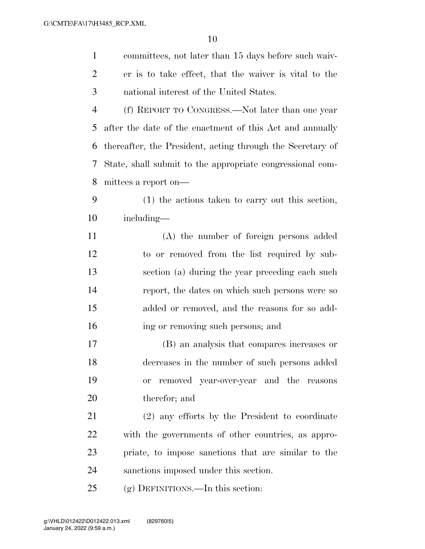| $\mathbf{1}$   | committees, not later than 15 days before such waiv-       |
|----------------|------------------------------------------------------------|
| $\overline{2}$ | er is to take effect, that the waiver is vital to the      |
| 3              | national interest of the United States.                    |
| $\overline{4}$ | (f) REPORT TO CONGRESS.—Not later than one year            |
| 5              | after the date of the enactment of this Act and annually   |
| 6              | thereafter, the President, acting through the Secretary of |
| 7              | State, shall submit to the appropriate congressional com-  |
| 8              | mittees a report on—                                       |
| 9              | (1) the actions taken to carry out this section,           |
| 10             | including—                                                 |
| 11             | (A) the number of foreign persons added                    |
| 12             | to or removed from the list required by sub-               |
| 13             | section (a) during the year preceding each such            |
| 14             | report, the dates on which such persons were so            |
| 15             | added or removed, and the reasons for so add-              |
| 16             | ing or removing such persons; and                          |
| 17             | (B) an analysis that compares increases or                 |
| 18             | decreases in the number of such persons added              |
| 19             | removed year-over-year and the reasons<br><b>or</b>        |
| 20             | therefor; and                                              |
| 21             | (2) any efforts by the President to coordinate             |
| 22             | with the governments of other countries, as appro-         |
| 23             | priate, to impose sanctions that are similar to the        |
| 24             | sanctions imposed under this section.                      |
| 25             | (g) DEFINITIONS.—In this section:                          |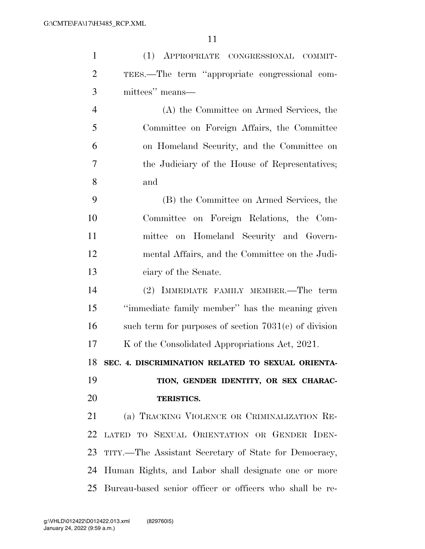| $\mathbf{1}$   | (1) APPROPRIATE CONGRESSIONAL COMMIT-                    |
|----------------|----------------------------------------------------------|
| $\overline{2}$ | TEES.—The term "appropriate congressional com-           |
| 3              | mittees" means—                                          |
| $\overline{4}$ | (A) the Committee on Armed Services, the                 |
| 5              | Committee on Foreign Affairs, the Committee              |
| 6              | on Homeland Security, and the Committee on               |
| 7              | the Judiciary of the House of Representatives;           |
| 8              | and                                                      |
| 9              | (B) the Committee on Armed Services, the                 |
| 10             | Committee on Foreign Relations, the Com-                 |
| 11             | mittee on Homeland Security and Govern-                  |
| 12             | mental Affairs, and the Committee on the Judi-           |
| 13             | ciary of the Senate.                                     |
| 14             | (2) IMMEDIATE FAMILY MEMBER.—The term                    |
| 15             | "immediate family member" has the meaning given          |
| 16             | such term for purposes of section $7031(c)$ of division  |
| 17             | K of the Consolidated Appropriations Act, 2021.          |
| 18             | SEC. 4. DISCRIMINATION RELATED TO SEXUAL ORIENTA-        |
| 19             | TION, GENDER IDENTITY, OR SEX CHARAC-                    |
| 20             | <b>TERISTICS.</b>                                        |
| 21             | (a) TRACKING VIOLENCE OR CRIMINALIZATION RE-             |
| 22             | LATED TO SEXUAL ORIENTATION OR GENDER IDEN-              |
| 23             | TITY.—The Assistant Secretary of State for Democracy,    |
| 24             | Human Rights, and Labor shall designate one or more      |
| 25             | Bureau-based senior officer or officers who shall be re- |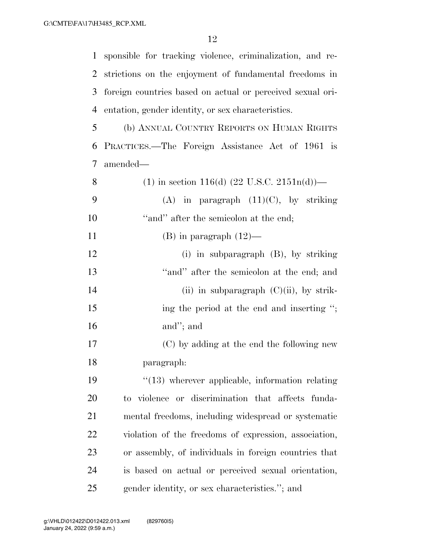| $\mathbf{1}$   | sponsible for tracking violence, criminalization, and re-  |
|----------------|------------------------------------------------------------|
| 2              | strictions on the enjoyment of fundamental freedoms in     |
| 3              | foreign countries based on actual or perceived sexual ori- |
| $\overline{4}$ | entation, gender identity, or sex characteristics.         |
| 5              | (b) ANNUAL COUNTRY REPORTS ON HUMAN RIGHTS                 |
| 6              | PRACTICES.—The Foreign Assistance Act of 1961 is           |
| $\tau$         | amended—                                                   |
| 8              | (1) in section 116(d) $(22 \text{ U.S.C. } 2151n(d))$ —    |
| 9              | (A) in paragraph $(11)(C)$ , by striking                   |
| 10             | "and" after the semicolon at the end;                      |
| 11             | $(B)$ in paragraph $(12)$ —                                |
| 12             | (i) in subparagraph $(B)$ , by striking                    |
| 13             | "and" after the semicolon at the end; and                  |
| 14             | (ii) in subparagraph $(C)(ii)$ , by strik-                 |
| 15             | ing the period at the end and inserting ";                 |
| 16             | and"; and                                                  |
| 17             | (C) by adding at the end the following new                 |
| 18             | paragraph:                                                 |
| 19             | $\lq(13)$ wherever applicable, information relating        |
| 20             | to violence or discrimination that affects funda-          |
| 21             | mental freedoms, including widespread or systematic        |
| 22             | violation of the freedoms of expression, association,      |
| 23             | or assembly, of individuals in foreign countries that      |
| 24             | is based on actual or perceived sexual orientation,        |
| 25             | gender identity, or sex characteristics."; and             |